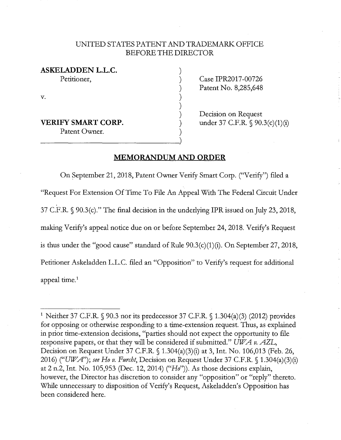## UNITED STATES PATENT AND TRADEMARK OFFICE BEFORE THE DIRECTOR

) ) ) ) ) ) ) )

**ASKELADDEN L.L.C.**  Petitioner,

V.

**VERIFY SMART CORP.** (a)<br>  $\begin{array}{c} \text{Pattern Owner.} \\ \hline \end{array}$ Patent Owner.

Case IPR2017-00726 Patent No. 8,285,648

Decision on Request under 37 C.F.R. § 90.3(c)(1)(i)

## **MEMORANDUM AND ORDER**

On September 21, 2018, Patent Owner Verify Smart Corp. ("Verify") filed a "Request For Extension Of Time To File An Appeal With The Federal Circuit Under 37 C.F.R. § 90.3(c)." The final decision in the underlying IPR issued on July 23, 2018, making Verify's appeal notice due on or before September 24, 2018. Verify's Request is thus under the "good cause" standard of Rule 90.3(c)(1)(i). On September 27, 2018, Petitioner Askeladden L.L.C. filed an "Opposition" to Verify's request for additional appeal time.<sup>1</sup>

<sup>&</sup>lt;sup>1</sup> Neither 37 C.F.R. § 90.3 nor its predecessor 37 C.F.R. § 1.304(a)(3) (2012) provides for opposing or otherwise responding to a time-extension request. Thus, as explained in prior time-extension decisions, "parties should not expect the opportunity to file responsive papers, or that they will be considered if submitted." *UWA v. AZL,*  Decision on Request Under 37 C.F.R. § 1.304(a)(3)(i) at 3, Int. No. 106,013 (Feb. 26, 2016) *("UWA"); see Ho v. Furcht,* Decision on Request Under 37 C.F.R. § 1.304(a)(3)(i) at 2 n.2, Int. No. 105,953 (Dec. 12, 2014) ("Ho")). As those decisions explain, however, the Director has discretion to consider any "opposition" or "reply" thereto. While unnecessary to disposition of Verify's Request, Askeladden's Opposition has been considered here.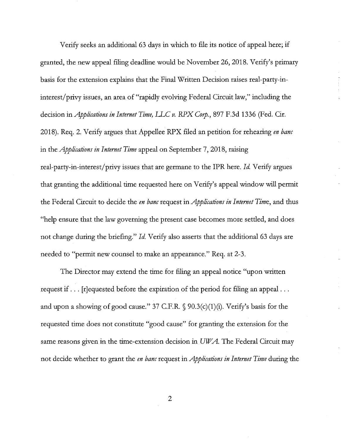Verify seeks an additional 63 days in which to file its notice of appeal here; if granted, the new appeal filing deadline would be November 26, 2018. Verify's primary basis for the extension explains that the Final Written Decision raises. real-party-ininterest/privy issues, an area of "rapidly evolving Federal Circuit law," including the decision in *Applications in Internet Time, LLC v. RPX Corp.*, 897 F.3d 1336 (Fed. Cir. 2018). Req. 2. Verify argues that Appellee RPX filed an petition for rehearing *en bane*  in the *Applications in Internet Time* appeal on September 7, 2018, raising real-party-in-interest/privy issues that are germane to the IPR here. *Id* Verify argues that granting the additional time requested here on Verify's appeal window will permit the Federal Circuit to decide the *en bane* request in *Applications in Internet Time,* and thus "help ensure that the law governing the present case becomes more settled, and does not change during the briefing." *Id.* Verify also asserts that the additional 63 days are needed to "permit new counsel to make an appearance." Req. at 2-3.

The Director may extend the time for filing an appeal notice "upon written request if ... [r]equested before the expiration of the period for filing an appeal ... and upon a showing of good cause." 37 C.F.R.  $\S$  90.3(c)(1)(i). Verify's basis for the requested time does not constitute "good cause" for granting the extension for the same reasons given in the time-extension decision in *UW A.* The Federal Circuit may not decide whether to grant the *en bane* request in *Applications in Internet Time* during the

2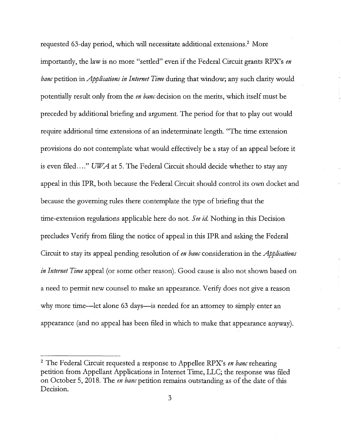requested 63-day period, which will necessitate additional extensions.<sup>2</sup> More importantly, the law is no more "settled" even if the Federal Circuit grants RPX's *en bane* petition in *Applications in Internet Time* during that window; any such clarity would potentially result only from the *en bane* decision on the merits, which itself must be preceded by additional briefing and argument. The period for that to play out would require additional time extensions of an indeterminate length. "The time extension provisions do not contemplate what would effectively be a stay of an appeal before it is even filed ...." UWA at 5. The Federal Circuit should decide whether to stay any appeal in this IPR, both because the Federal Circuit should control its own docket and because the governing rules there contemplate the type of briefing that the time-extension regulations applicable here do not. *See id.* Nothing in this Decision precludes Verify from filing the notice of appeal in this IPR and asking the Federal Circuit to stay its appeal pending resolution of *en bane* consideration in the *Applications in Internet Time* appeal (or some other reason). Good cause is also not shown based on a need to permit new counsel to make an appearance. Verify does not give a reason why more time—let alone 63 days—is needed for an attorney to simply enter an appearance (and no appeal has been filed in which to make that appearance anyway).

<sup>2</sup>The Federal Circuit requested a response to Appellee RPX's *en bane* rehearing petition from Appellant Applications in Internet Time, LLC; the response was filed on October 5, 2018. The *en bane* petition remains outstanding as of the date of this Decision.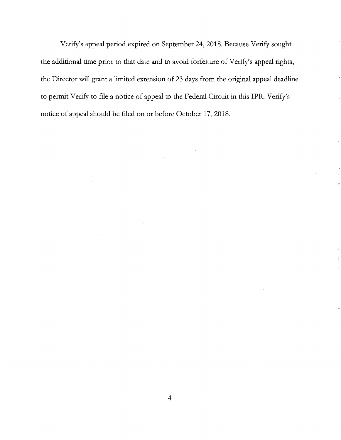Verify's appeal period expired on September 24, 2018. Because Verify sought the additional time prior to that date and to avoid forfeiture of Verify's appeal rights, the Director will grant a limited extension of 23 days from the original appeal deadline to permit Verify to file a notice of appeal to the Federal Circuit in this IPR. Verify's notice of appeal should be filed on or before October 17, 2018.